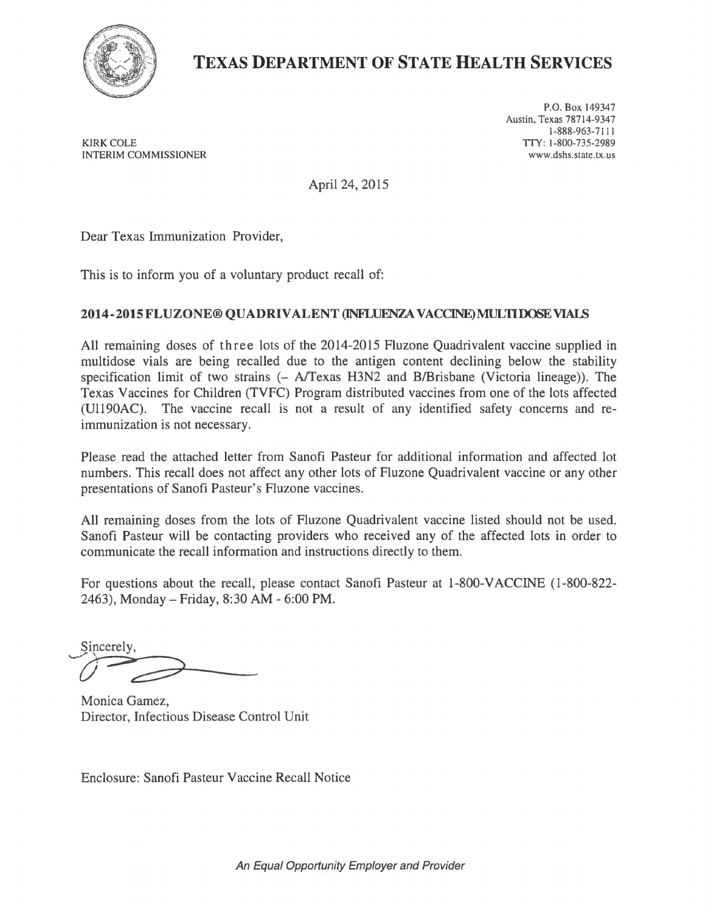

## **TEXAS DEPARTMENT OF STATE HEALTH SERVICES**

KIRK COLE TTY: 1-800-735-2989<br>INTERIM COMMISSIONER WELL ASSESSED TO A SUMMON TO A SUMMON WARD WAS MONOCOLECTED TO A SUMMON TO A SUMMON TO A INTERIM COMMISSIONER

P.O. Box 149347 Austin, Texas 78714-9347 1-888-963-7111

April 24, 2015

Dear Texas Immunization Provider,

This is to inform you of a voluntary product recall of:

## **2014-2015FLUZONE® QUADRIVALENT (INFLUENZA VACCINE)MULTIDOSEVIAIS**

All remaining doses of three lots of the 2014-2015 Fluzone Quadrivalent vaccine supplied in multidose vials are being recalled due to the antigen content declining below the stability specification limit of two strains (- A/Texas H3N2 and B/Brisbane (Victoria lineage)). The Texas Vaccines for Children (TVFC) Program distributed vaccines from one of the lots affected (Ul190AC). The vaccine recall is not a result of any identified safety concerns and reimmunization is not necessary.

Please read the attached letter from Sanofi Pasteur for additional information and affected lot numbers. This recall does not affect any other lots of Fluzone Quadrivalent vaccine or any other presentations of Sanofi Pasteur's Fluzone vaccines.

All remaining doses from the lots of Fluzone Quadrivalent vaccine listed should not be used. Sanofi Pasteur will be contacting providers who received any of the affected lots in order to communicate the recall information and instructions directly to them.

For questions about the recall, please contact Sanofi Pasteur at 1-800-VACCINE (1-800-822-2463), Monday- Friday, 8:30AM - 6:00PM.

Sincerely.

Monica Gamez, Director, Infectious Disease Control Unit

Enclosure: Sanofi Pasteur Vaccine Recall Notice